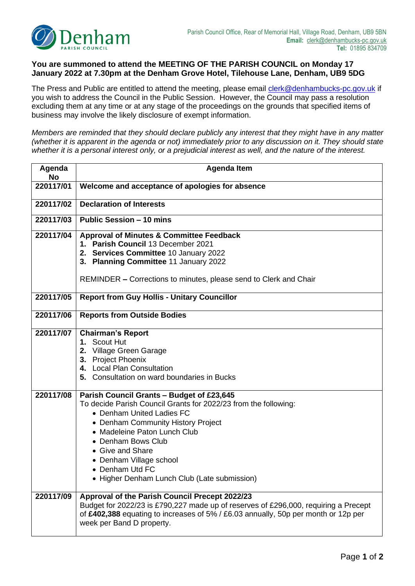

## **You are summoned to attend the MEETING OF THE PARISH COUNCIL on Monday 17 January 2022 at 7.30pm at the Denham Grove Hotel, Tilehouse Lane, Denham, UB9 5DG**

The Press and Public are entitled to attend the meeting, please email [clerk@denhambucks-pc.gov.uk](mailto:clerk@denhambucks-pc.gov.uk) if you wish to address the Council in the Public Session. However, the Council may pass a resolution excluding them at any time or at any stage of the proceedings on the grounds that specified items of business may involve the likely disclosure of exempt information.

*Members are reminded that they should declare publicly any interest that they might have in any matter (whether it is apparent in the agenda or not) immediately prior to any discussion on it. They should state whether it is a personal interest only, or a prejudicial interest as well, and the nature of the interest.* 

| Agenda<br><b>No</b> | <b>Agenda Item</b>                                                                                                                                                                                                                                                                                                                                      |  |  |  |  |
|---------------------|---------------------------------------------------------------------------------------------------------------------------------------------------------------------------------------------------------------------------------------------------------------------------------------------------------------------------------------------------------|--|--|--|--|
| 220117/01           | Welcome and acceptance of apologies for absence                                                                                                                                                                                                                                                                                                         |  |  |  |  |
| 220117/02           | <b>Declaration of Interests</b>                                                                                                                                                                                                                                                                                                                         |  |  |  |  |
| 220117/03           | <b>Public Session - 10 mins</b>                                                                                                                                                                                                                                                                                                                         |  |  |  |  |
| 220117/04           | <b>Approval of Minutes &amp; Committee Feedback</b><br>1. Parish Council 13 December 2021<br>2. Services Committee 10 January 2022<br>3. Planning Committee 11 January 2022<br>REMINDER – Corrections to minutes, please send to Clerk and Chair                                                                                                        |  |  |  |  |
| 220117/05           | <b>Report from Guy Hollis - Unitary Councillor</b>                                                                                                                                                                                                                                                                                                      |  |  |  |  |
| 220117/06           | <b>Reports from Outside Bodies</b>                                                                                                                                                                                                                                                                                                                      |  |  |  |  |
| 220117/07           | <b>Chairman's Report</b><br>1. Scout Hut<br>2. Village Green Garage<br>3. Project Phoenix<br>4. Local Plan Consultation<br>5. Consultation on ward boundaries in Bucks                                                                                                                                                                                  |  |  |  |  |
| 220117/08           | Parish Council Grants - Budget of £23,645<br>To decide Parish Council Grants for 2022/23 from the following:<br>• Denham United Ladies FC<br>• Denham Community History Project<br>• Madeleine Paton Lunch Club<br>• Denham Bows Club<br>• Give and Share<br>• Denham Village school<br>• Denham Utd FC<br>• Higher Denham Lunch Club (Late submission) |  |  |  |  |
| 220117/09           | Approval of the Parish Council Precept 2022/23<br>Budget for 2022/23 is £790,227 made up of reserves of £296,000, requiring a Precept<br>of £402,388 equating to increases of 5% / £6.03 annually, 50p per month or 12p per<br>week per Band D property.                                                                                                |  |  |  |  |